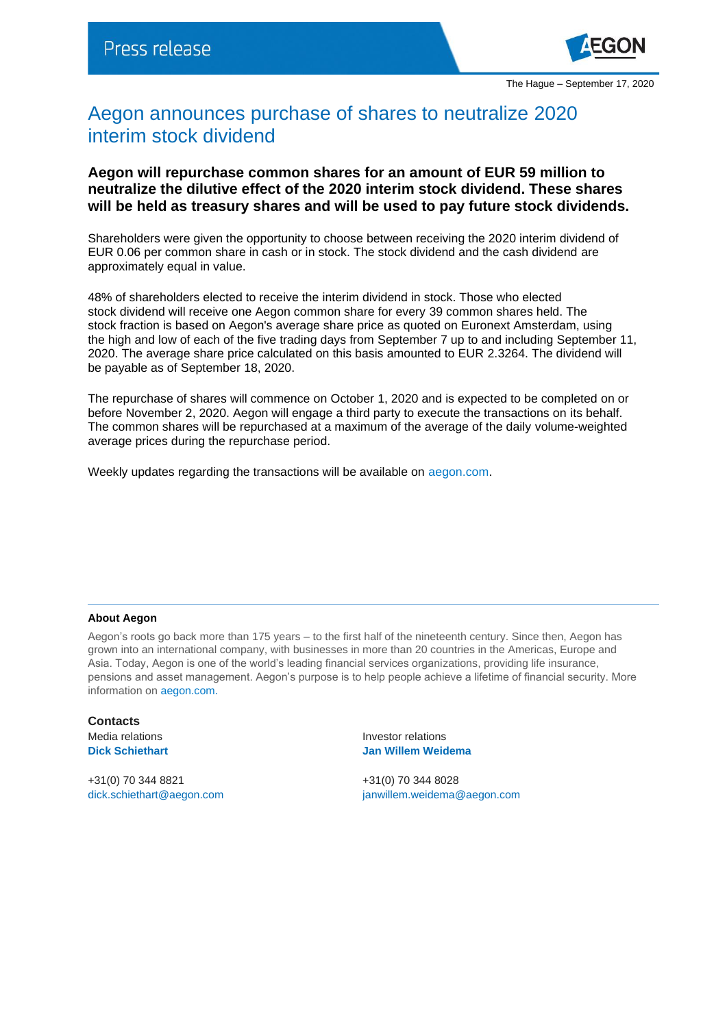

## Aegon announces purchase of shares to neutralize 2020 interim stock dividend

## **Aegon will repurchase common shares for an amount of EUR 59 million to neutralize the dilutive effect of the 2020 interim stock dividend. These shares will be held as treasury shares and will be used to pay future stock dividends.**

Shareholders were given the opportunity to choose between receiving the 2020 interim dividend of EUR 0.06 per common share in cash or in stock. The stock dividend and the cash dividend are approximately equal in value.

48% of shareholders elected to receive the interim dividend in stock. Those who elected stock dividend will receive one Aegon common share for every 39 common shares held. The stock fraction is based on Aegon's average share price as quoted on Euronext Amsterdam, using the high and low of each of the five trading days from September 7 up to and including September 11, 2020. The average share price calculated on this basis amounted to EUR 2.3264. The dividend will be payable as of September 18, 2020.

The repurchase of shares will commence on October 1, 2020 and is expected to be completed on or before November 2, 2020. Aegon will engage a third party to execute the transactions on its behalf. The common shares will be repurchased at a maximum of the average of the daily volume-weighted average prices during the repurchase period.

Weekly updates regarding the transactions will be available on [aegon.com.](https://www.aegon.com/investors/shareholders/share-buyback-program/)

## **About Aegon**

Aegon's roots go back more than 175 years – to the first half of the nineteenth century. Since then, Aegon has grown into an international company, with businesses in more than 20 countries in the Americas, Europe and Asia. Today, Aegon is one of the world's leading financial services organizations, providing life insurance, pensions and asset management. Aegon's purpose is to help people achieve a lifetime of financial security. More information on [aegon.com.](http://www.aegon.com/about)

**Contacts** Media relations **Investor relations** 

+31(0) 70 344 8821 +31(0) 70 344 8028

**Dick Schiethart Jan Willem Weidema**

[dick.schiethart@aegon.com](mailto:dick.schiethart@aegon.com) [janwillem.weidema@aegon.com](mailto:janwillem.weidema@aegon.com)